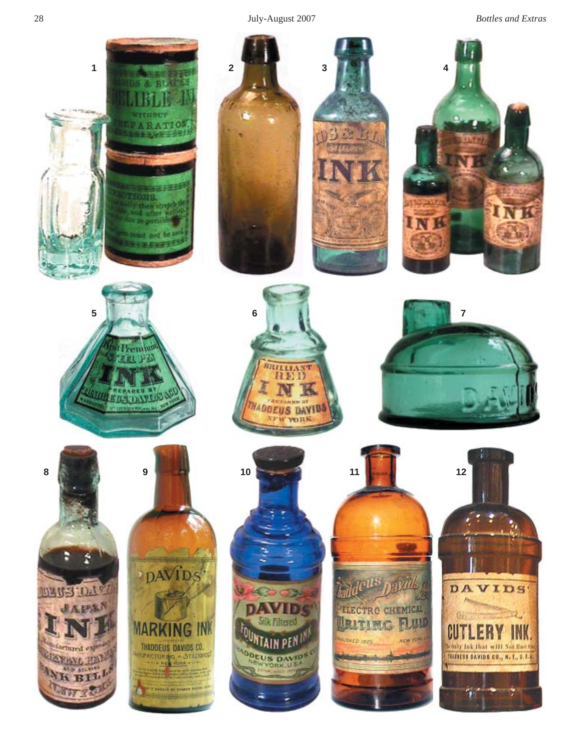28 July-August 2007 *Bottles and Extras*

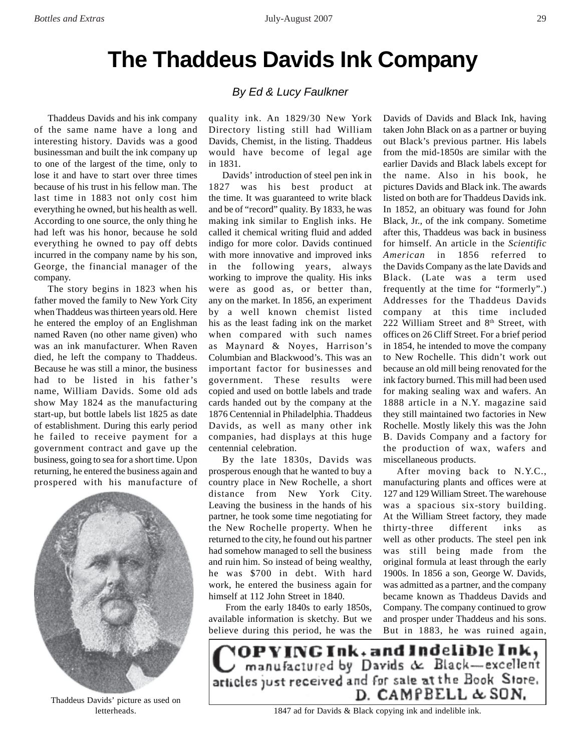# **The Thaddeus Davids Ink Company**

Thaddeus Davids and his ink company of the same name have a long and interesting history. Davids was a good businessman and built the ink company up to one of the largest of the time, only to lose it and have to start over three times because of his trust in his fellow man. The last time in 1883 not only cost him everything he owned, but his health as well. According to one source, the only thing he had left was his honor, because he sold everything he owned to pay off debts incurred in the company name by his son, George, the financial manager of the company.

The story begins in 1823 when his father moved the family to New York City when Thaddeus was thirteen years old. Here he entered the employ of an Englishman named Raven (no other name given) who was an ink manufacturer. When Raven died, he left the company to Thaddeus. Because he was still a minor, the business had to be listed in his father's name, William Davids. Some old ads show May 1824 as the manufacturing start-up, but bottle labels list 1825 as date of establishment. During this early period he failed to receive payment for a government contract and gave up the business, going to sea for a short time. Upon returning, he entered the business again and prospered with his manufacture of



Thaddeus Davids' picture as used on

### *By Ed & Lucy Faulkner*

quality ink. An 1829/30 New York Directory listing still had William Davids, Chemist, in the listing. Thaddeus would have become of legal age in 1831.

Davids' introduction of steel pen ink in 1827 was his best product at the time. It was guaranteed to write black and be of "record" quality. By 1833, he was making ink similar to English inks. He called it chemical writing fluid and added indigo for more color. Davids continued with more innovative and improved inks in the following years, always working to improve the quality. His inks were as good as, or better than, any on the market. In 1856, an experiment by a well known chemist listed his as the least fading ink on the market when compared with such names as Maynard & Noyes, Harrison's Columbian and Blackwood's. This was an important factor for businesses and government. These results were copied and used on bottle labels and trade cards handed out by the company at the 1876 Centennial in Philadelphia. Thaddeus Davids, as well as many other ink companies, had displays at this huge centennial celebration.

By the late 1830s, Davids was prosperous enough that he wanted to buy a country place in New Rochelle, a short distance from New York City. Leaving the business in the hands of his partner, he took some time negotiating for the New Rochelle property. When he returned to the city, he found out his partner had somehow managed to sell the business and ruin him. So instead of being wealthy, he was \$700 in debt. With hard work, he entered the business again for himself at 112 John Street in 1840.

 From the early 1840s to early 1850s, available information is sketchy. But we believe during this period, he was the Davids of Davids and Black Ink, having taken John Black on as a partner or buying out Black's previous partner. His labels from the mid-1850s are similar with the earlier Davids and Black labels except for the name. Also in his book, he pictures Davids and Black ink. The awards listed on both are for Thaddeus Davids ink. In 1852, an obituary was found for John Black, Jr., of the ink company. Sometime after this, Thaddeus was back in business for himself. An article in the *Scientific American* in 1856 referred to the Davids Company as the late Davids and Black. (Late was a term used frequently at the time for "formerly".) Addresses for the Thaddeus Davids company at this time included 222 William Street and 8th Street, with offices on 26 Cliff Street. For a brief period in 1854, he intended to move the company to New Rochelle. This didn't work out because an old mill being renovated for the ink factory burned. This mill had been used for making sealing wax and wafers. An 1888 article in a N.Y. magazine said they still maintained two factories in New Rochelle. Mostly likely this was the John B. Davids Company and a factory for the production of wax, wafers and miscellaneous products.

After moving back to N.Y.C., manufacturing plants and offices were at 127 and 129 William Street. The warehouse was a spacious six-story building. At the William Street factory, they made thirty-three different inks as well as other products. The steel pen ink was still being made from the original formula at least through the early 1900s. In 1856 a son, George W. Davids, was admitted as a partner, and the company became known as Thaddeus Davids and Company. The company continued to grow and prosper under Thaddeus and his sons. But in 1883, he was ruined again,

COPYING Ink. and Indelible Ink,<br>articles just received and for sale at the Book Store. D. CAMPBELL & SON.

letterheads. 1847 ad for Davids & Black copying ink and indelible ink.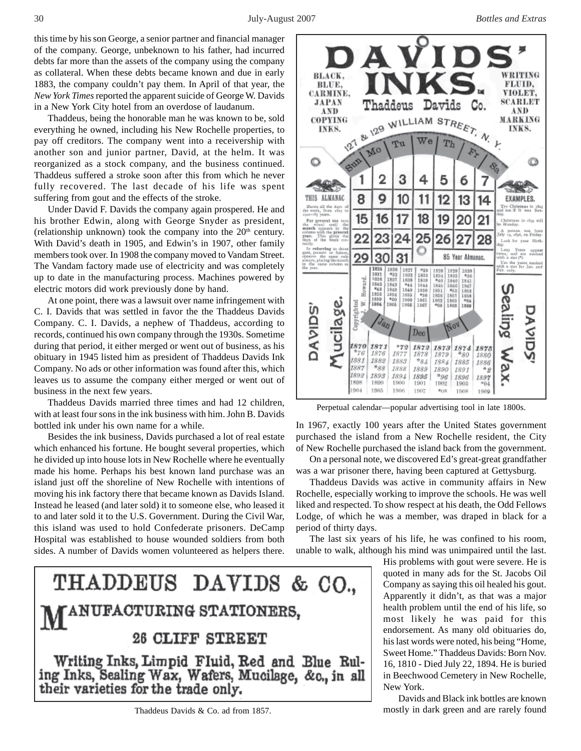this time by his son George, a senior partner and financial manager of the company. George, unbeknown to his father, had incurred debts far more than the assets of the company using the company as collateral. When these debts became known and due in early 1883, the company couldn't pay them. In April of that year, the *New York Times* reported the apparent suicide of George W. Davids in a New York City hotel from an overdose of laudanum.

Thaddeus, being the honorable man he was known to be, sold everything he owned, including his New Rochelle properties, to pay off creditors. The company went into a receivership with another son and junior partner, David, at the helm. It was reorganized as a stock company, and the business continued. Thaddeus suffered a stroke soon after this from which he never fully recovered. The last decade of his life was spent suffering from gout and the effects of the stroke.

Under David F. Davids the company again prospered. He and his brother Edwin, along with George Snyder as president, (relationship unknown) took the company into the  $20<sup>th</sup>$  century. With David's death in 1905, and Edwin's in 1907, other family members took over. In 1908 the company moved to Vandam Street. The Vandam factory made use of electricity and was completely up to date in the manufacturing process. Machines powered by electric motors did work previously done by hand.

At one point, there was a lawsuit over name infringement with C. I. Davids that was settled in favor the the Thaddeus Davids Company. C. I. Davids, a nephew of Thaddeus, according to records, continued his own company through the 1930s. Sometime during that period, it either merged or went out of business, as his obituary in 1945 listed him as president of Thaddeus Davids Ink Company. No ads or other information was found after this, which leaves us to assume the company either merged or went out of business in the next few years.

Thaddeus Davids married three times and had 12 children, with at least four sons in the ink business with him. John B. Davids bottled ink under his own name for a while.

Besides the ink business, Davids purchased a lot of real estate which enhanced his fortune. He bought several properties, which he divided up into house lots in New Rochelle where he eventually made his home. Perhaps his best known land purchase was an island just off the shoreline of New Rochelle with intentions of moving his ink factory there that became known as Davids Island. Instead he leased (and later sold) it to someone else, who leased it to and later sold it to the U.S. Government. During the Civil War, this island was used to hold Confederate prisoners. DeCamp Hospital was established to house wounded soldiers from both sides. A number of Davids women volunteered as helpers there.

## ${\tt THADDEUS}$ DAVIDS & CO. **ANUFACTURING STATIONERS.** 26 CLIFF STREET

Writing Inks, Limpid Fluid, Red and Blue Ruling Inks, Sealing Wax, Wafers, Mucilage, &c., in all their varieties for the trade only.



Perpetual calendar—popular advertising tool in late 1800s.

In 1967, exactly 100 years after the United States government purchased the island from a New Rochelle resident, the City of New Rochelle purchased the island back from the government.

On a personal note, we discovered Ed's great-great grandfather was a war prisoner there, having been captured at Gettysburg.

Thaddeus Davids was active in community affairs in New Rochelle, especially working to improve the schools. He was well liked and respected. To show respect at his death, the Odd Fellows Lodge, of which he was a member, was draped in black for a period of thirty days.

The last six years of his life, he was confined to his room, unable to walk, although his mind was unimpaired until the last.

> His problems with gout were severe. He is quoted in many ads for the St. Jacobs Oil Company as saying this oil healed his gout. Apparently it didn't, as that was a major health problem until the end of his life, so most likely he was paid for this endorsement. As many old obituaries do, his last words were noted, his being "Home, Sweet Home." Thaddeus Davids: Born Nov. 16, 1810 - Died July 22, 1894. He is buried in Beechwood Cemetery in New Rochelle, New York.

Davids and Black ink bottles are known Thaddeus Davids & Co. ad from 1857. Thaddeus Davids & Co. ad from 1857.